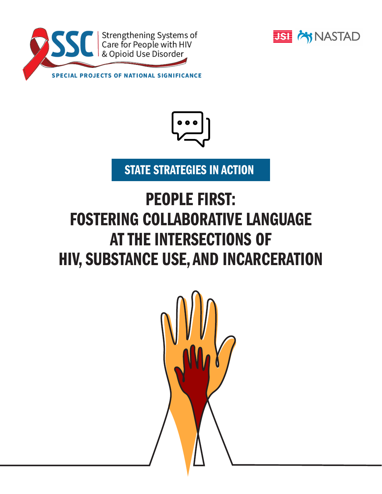





STATE STRATEGIES IN ACTION

# PEOPLE FIRST: FOSTERING COLLABORATIVE LANGUAGE AT THE INTERSECTIONS OF HIV, SUBSTANCE USE, AND INCARCERATION

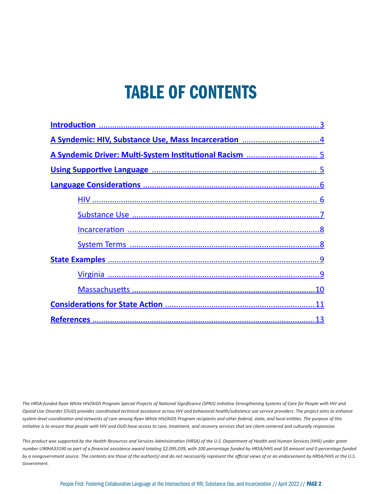# TABLE OF CONTENTS

*The HRSA-funded Ryan White HIV/AIDS Program Special Projects of National Significance (SPNS) initiative Strengthening Systems of Care for People with HIV and Opioid Use Disorder (OUD) provides coordinated technical assistance across HIV and behavioral health/substance use service providers. The project aims to enhance system-level coordination and networks of care among Ryan White HIV/AIDS Program recipients and other federal, state, and local entities. The purpose of this initiative is to ensure that people with HIV and OUD have access to care, treatment, and recovery services that are client-centered and culturally responsive.*

*This product was supported by the Health Resources and Services Administration (HRSA) of the U.S. Department of Health and Human Services (HHS) under grant number U90HA33190 as part of a financial assistance award totaling \$2,095,039, with 100 percentage funded by HRSA/HHS and \$0 amount and 0 percentage funded by a nongovernment source. The contents are those of the author(s) and do not necessarily represent the official views of or an endorsement by HRSA/HHS or the U.S. Government.*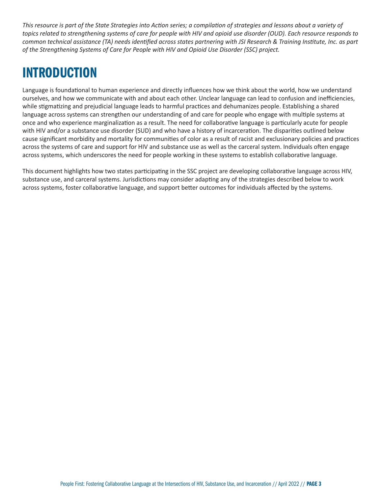<span id="page-2-0"></span>*This resource is part of the State Strategies into Action series; a compilation of strategies and lessons about a variety of topics related to strengthening systems of care for people with HIV and opioid use disorder (OUD). Each resource responds to common technical assistance (TA) needs identified across states partnering with JSI Research & Training Institute, Inc. as part of the Strengthening Systems of Care for People with HIV and Opioid Use Disorder (SSC) project.* 

## INTRODUCTION

Language is foundational to human experience and directly influences how we think about the world, how we understand ourselves, and how we communicate with and about each other. Unclear language can lead to confusion and inefficiencies, while stigmatizing and prejudicial language leads to harmful practices and dehumanizes people. Establishing a shared language across systems can strengthen our understanding of and care for people who engage with multiple systems at once and who experience marginalization as a result. The need for collaborative language is particularly acute for people with HIV and/or a substance use disorder (SUD) and who have a history of incarceration. The disparities outlined below cause significant morbidity and mortality for communities of color as a result of racist and exclusionary policies and practices across the systems of care and support for HIV and substance use as well as the carceral system. Individuals often engage across systems, which underscores the need for people working in these systems to establish collaborative language.

This document highlights how two states participating in the SSC project are developing collaborative language across HIV, substance use, and carceral systems. Jurisdictions may consider adapting any of the strategies described below to work across systems, foster collaborative language, and support better outcomes for individuals affected by the systems.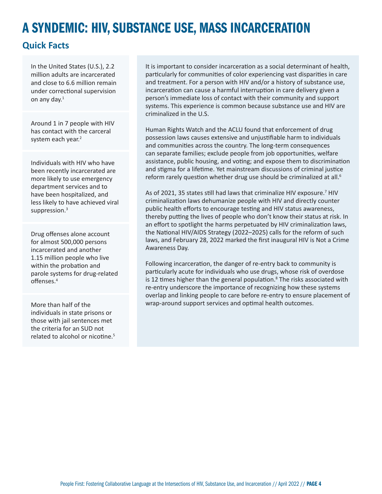## <span id="page-3-0"></span>A SYNDEMIC: HIV, SUBSTANCE USE, MASS INCARCERATION

### **Quick Facts**

In the United States (U.S.), 2.2 million adults are incarcerated and close to 6.6 million remain under correctional supervision on any day.<sup>1</sup>

Around 1 in 7 people with HIV has contact with the carceral system each year.<sup>2</sup>

Individuals with HIV who have been recently incarcerated are more likely to use emergency department services and to have been hospitalized, and less likely to have achieved viral suppression.<sup>3</sup>

Drug offenses alone account for almost 500,000 persons incarcerated and another 1.15 million people who live within the probation and parole systems for drug-related offenses.<sup>4</sup>

More than half of the individuals in state prisons or those with jail sentences met the criteria for an SUD not related to alcohol or nicotine.<sup>5</sup> It is important to consider incarceration as a social determinant of health, particularly for communities of color experiencing vast disparities in care and treatment. For a person with HIV and/or a history of substance use, incarceration can cause a harmful interruption in care delivery given a person's immediate loss of contact with their community and support systems. This experience is common because substance use and HIV are criminalized in the U.S.

Human Rights Watch and the ACLU found that enforcement of drug possession laws causes extensive and unjustifiable harm to individuals and communities across the country. The long-term consequences can separate families; exclude people from job opportunities, welfare assistance, public housing, and voting; and expose them to discrimination and stigma for a lifetime. Yet mainstream discussions of criminal justice reform rarely question whether drug use should be criminalized at all.<sup>6</sup>

As of 2021, 35 states still had laws that criminalize HIV exposure.<sup>7</sup> HIV criminalization laws dehumanize people with HIV and directly counter public health efforts to encourage testing and HIV status awareness, thereby putting the lives of people who don't know their status at risk. In an effort to spotlight the harms perpetuated by HIV criminalization laws, the National HIV/AIDS Strategy (2022–2025) calls for the reform of such laws, and February 28, 2022 marked the first inaugural HIV is Not a Crime Awareness Day.

Following incarceration, the danger of re-entry back to community is particularly acute for individuals who use drugs, whose risk of overdose is 12 times higher than the general population.<sup>8</sup> The risks associated with re-entry underscore the importance of recognizing how these systems overlap and linking people to care before re-entry to ensure placement of wrap-around support services and optimal health outcomes.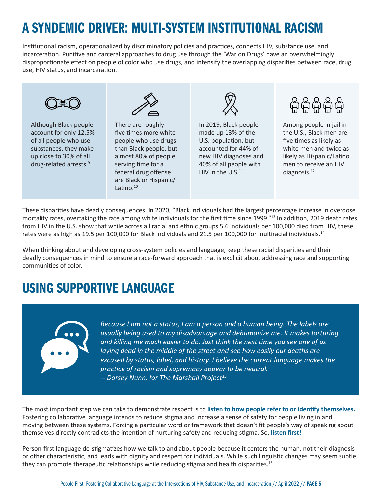## <span id="page-4-0"></span>A SYNDEMIC DRIVER: MULTI-SYSTEM INSTITUTIONAL RACISM

Institutional racism, operationalized by discriminatory policies and practices, connects HIV, substance use, and incarceration. Punitive and carceral approaches to drug use through the 'War on Drugs' have an overwhelmingly disproportionate effect on people of color who use drugs, and intensify the overlapping disparities between race, drug use, HIV status, and incarceration.



These disparities have deadly consequences. In 2020, "Black individuals had the largest percentage increase in overdose mortality rates, overtaking the rate among white individuals for the first time since 1999."<sup>13</sup> In addition, 2019 death rates from HIV in the U.S. show that while across all racial and ethnic groups 5.6 individuals per 100,000 died from HIV, these rates were as high as 19.5 per 100,000 for Black individuals and 21.5 per 100,000 for multiracial individuals.<sup>14</sup>

When thinking about and developing cross-system policies and language, keep these racial disparities and their deadly consequences in mind to ensure a race-forward approach that is explicit about addressing race and supporting communities of color.

## USING SUPPORTIVE LANGUAGE



*Because I am not a status, I am a person and a human being. The labels are usually being used to my disadvantage and dehumanize me. It makes torturing and killing me much easier to do. Just think the next time you see one of us laying dead in the middle of the street and see how easily our deaths are excused by status, label, and history. I believe the current language makes the practice of racism and supremacy appear to be neutral. -- Dorsey Nunn, for The Marshall Project15*

The most important step we can take to demonstrate respect is to **listen to how people refer to or identify themselves.** Fostering collaborative language intends to reduce stigma and increase a sense of safety for people living in and moving between these systems. Forcing a particular word or framework that doesn't fit people's way of speaking about themselves directly contradicts the intention of nurturing safety and reducing stigma. So, **listen first!**

Person-first language de-stigmatizes how we talk to and about people because it centers the human, not their diagnosis or other characteristic, and leads with dignity and respect for individuals. While such linguistic changes may seem subtle, they can promote therapeutic relationships while reducing stigma and health disparities.<sup>16</sup>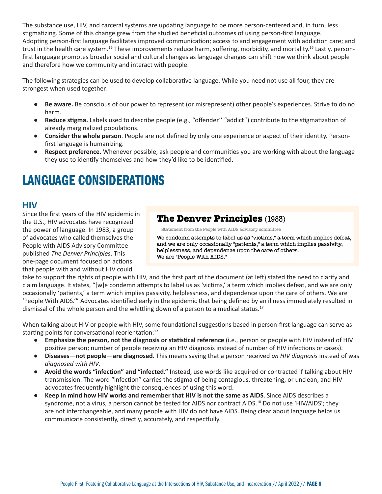<span id="page-5-0"></span>The substance use, HIV, and carceral systems are updating language to be more person-centered and, in turn, less stigmatizing. Some of this change grew from the studied beneficial outcomes of using person-first language. Adopting person-first language facilitates improved communication; access to and engagement with addiction care; and trust in the health care system.16 These improvements reduce harm, suffering, morbidity, and mortality.16 Lastly, personfirst language promotes broader social and cultural changes as language changes can shift how we think about people and therefore how we community and interact with people.

The following strategies can be used to develop collaborative language. While you need not use all four, they are strongest when used together.

- **● Be aware.** Be conscious of our power to represent (or misrepresent) other people's experiences. Strive to do no harm.
- **● Reduce stigma.** Labels used to describe people (e.g., "offender'' "addict") contribute to the stigmatization of already marginalized populations.
- **● Consider the whole person**. People are not defined by only one experience or aspect of their identity. Personfirst language is humanizing.
- **● Respect preference.** Whenever possible, ask people and communities you are working with about the language they use to identify themselves and how they'd like to be identified.

## LANGUAGE CONSIDERATIONS

### **HIV**

Since the first years of the HIV epidemic in the U.S., HIV advocates have recognized the power of language. In 1983, a group of advocates who called themselves the People with AIDS Advisory Committee published *The Denver Principles*. This one-page document focused on actions that people with and without HIV could

## The Denver Principles (1983)

Statement from the People with AIDS advisory committee

We condemn attempts to label us as "victims," a term which implies defeat, and we are only occasionally "patients," a term which implies passivity, helplessness, and dependence upon the care of others. We are "People With AIDS."

take to support the rights of people with HIV, and the first part of the document (at left) stated the need to clarify and claim language. It states, "[w]e condemn attempts to label us as 'victims,' a term which implies defeat, and we are only occasionally 'patients,' a term which implies passivity, helplessness, and dependence upon the care of others. We are 'People With AIDS.'" Advocates identified early in the epidemic that being defined by an illness immediately resulted in dismissal of the whole person and the whittling down of a person to a medical status.<sup>17</sup>

When talking about HIV or people with HIV, some foundational suggestions based in person-first language can serve as starting points for conversational reorientation:<sup>17</sup>

- **● Emphasize the person, not the diagnosis or statistical reference** (i.e., person or people with HIV instead of HIV positive person; number of people receiving an HIV diagnosis instead of number of HIV infections or cases).
- **● Diseases—not people—are diagnosed**. This means saying that a person received *an HIV diagnosis* instead of was *diagnosed with HIV*.
- **● Avoid the words "infection" and "infected."** Instead, use words like acquired or contracted if talking about HIV transmission. The word "infection" carries the stigma of being contagious, threatening, or unclean, and HIV advocates frequently highlight the consequences of using this word.
- **● Keep in mind how HIV works and remember that HIV is not the same as AIDS**. Since AIDS describes a syndrome, not a virus, a person cannot be tested for AIDS nor contract AIDS.<sup>18</sup> Do not use 'HIV/AIDS'; they are not interchangeable, and many people with HIV do not have AIDS. Being clear about language helps us communicate consistently, directly, accurately, and respectfully.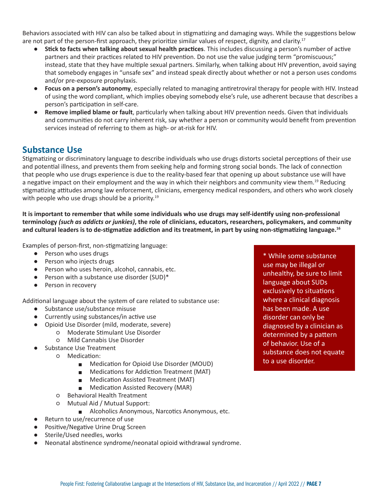<span id="page-6-0"></span>Behaviors associated with HIV can also be talked about in stigmatizing and damaging ways. While the suggestions below are not part of the person-first approach, they prioritize similar values of respect, dignity, and clarity.<sup>17</sup>

- **● Stick to facts when talking about sexual health practices**. This includes discussing a person's number of active partners and their practices related to HIV prevention. Do not use the value judging term "promiscuous;" instead, state that they have multiple sexual partners. Similarly, when talking about HIV prevention, avoid saying that somebody engages in "unsafe sex" and instead speak directly about whether or not a person uses condoms and/or pre-exposure prophylaxis.
- **● Focus on a person's autonomy**, especially related to managing antiretroviral therapy for people with HIV. Instead of using the word compliant, which implies obeying somebody else's rule, use adherent because that describes a person's participation in self-care.
- **● Remove implied blame or fault**, particularly when talking about HIV prevention needs. Given that individuals and communities do not carry inherent risk, say whether a person or community would benefit from prevention services instead of referring to them as high- or at-risk for HIV.

### **Substance Use**

Stigmatizing or discriminatory language to describe individuals who use drugs distorts societal perceptions of their use and potential illness, and prevents them from seeking help and forming strong social bonds. The lack of connection that people who use drugs experience is due to the reality-based fear that opening up about substance use will have a negative impact on their employment and the way in which their neighbors and community view them.<sup>19</sup> Reducing stigmatizing attitudes among law enforcement, clinicians, emergency medical responders, and others who work closely with people who use drugs should be a priority.<sup>19</sup>

**It is important to remember that while some individuals who use drugs may self-identify using non-professional terminology** *(such as addicts or junkies)***, the role of clinicians, educators, researchers, policymakers, and community and cultural leaders is to de-stigmatize addiction and its treatment, in part by using non-stigmatizing language.<sup>16</sup>**

Examples of person-first, non-stigmatizing language:

- Person who uses drugs
- Person who injects drugs
- Person who uses heroin, alcohol, cannabis, etc.
- Person with a substance use disorder (SUD)\*
- Person in recovery

Additional language about the system of care related to substance use:

- Substance use/substance misuse
- Currently using substances/in active use
- Opioid Use Disorder (mild, moderate, severe)
	- Moderate Stimulant Use Disorder
	- Mild Cannabis Use Disorder
	- Substance Use Treatment
		- Medication:
			- Medication for Opioid Use Disorder (MOUD)
			- Medications for Addiction Treatment (MAT)  $\mathcal{L}_{\text{max}}$
			- **Medication Assisted Treatment (MAT)**
			- **Medication Assisted Recovery (MAR)**
			- Behavioral Health Treatment
			- Mutual Aid / Mutual Support:
				- Alcoholics Anonymous, Narcotics Anonymous, etc.
- Return to use/recurrence of use
- Positive/Negative Urine Drug Screen
- Sterile/Used needles, works
- Neonatal abstinence syndrome/neonatal opioid withdrawal syndrome.

\* While some substance use may be illegal or unhealthy, be sure to limit language about SUDs exclusively to situations where a clinical diagnosis has been made. A use disorder can only be diagnosed by a clinician as determined by a pattern of behavior. Use of a substance does not equate to a use disorder.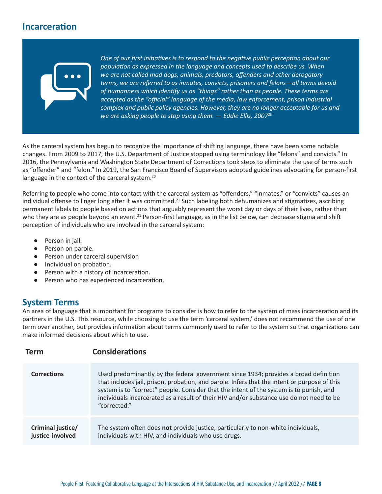### <span id="page-7-0"></span>**Incarceration**

*One of our first initiatives is to respond to the negative public perception about our population as expressed in the language and concepts used to describe us. When we are not called mad dogs, animals, predators, offenders and other derogatory terms, we are referred to as inmates, convicts, prisoners and felons—all terms devoid of humanness which identify us as "things" rather than as people. These terms are accepted as the "official" language of the media, law enforcement, prison industrial complex and public policy agencies. However, they are no longer acceptable for us and we are asking people to stop using them. — Eddie Ellis, 200720*

As the carceral system has begun to recognize the importance of shifting language, there have been some notable changes. From 2009 to 2017, the U.S. Department of Justice stopped using terminology like "felons" and convicts." In 2016, the Pennsylvania and Washington State Department of Corrections took steps to eliminate the use of terms such as "offender" and "felon." In 2019, the San Francisco Board of Supervisors adopted guidelines advocating for person-first language in the context of the carceral system.<sup>20</sup>

Referring to people who come into contact with the carceral system as "offenders," "inmates," or "convicts" causes an individual offense to linger long after it was committed.<sup>21</sup> Such labeling both dehumanizes and stigmatizes, ascribing permanent labels to people based on actions that arguably represent the worst day or days of their lives, rather than who they are as people beyond an event.<sup>21</sup> Person-first language, as in the list below, can decrease stigma and shift perception of individuals who are involved in the carceral system:

- Person in jail.
- Person on parole.
- Person under carceral supervision
- Individual on probation.
- Person with a history of incarceration.
- Person who has experienced incarceration.

### **System Terms**

An area of language that is important for programs to consider is how to refer to the system of mass incarceration and its partners in the U.S. This resource, while choosing to use the term 'carceral system,' does not recommend the use of one term over another, but provides information about terms commonly used to refer to the system so that organizations can make informed decisions about which to use.

| Term                                  | <b>Considerations</b>                                                                                                                                                                                                                                                                                                                                                                       |
|---------------------------------------|---------------------------------------------------------------------------------------------------------------------------------------------------------------------------------------------------------------------------------------------------------------------------------------------------------------------------------------------------------------------------------------------|
| <b>Corrections</b>                    | Used predominantly by the federal government since 1934; provides a broad definition<br>that includes jail, prison, probation, and parole. Infers that the intent or purpose of this<br>system is to "correct" people. Consider that the intent of the system is to punish, and<br>individuals incarcerated as a result of their HIV and/or substance use do not need to be<br>"corrected." |
| Criminal justice/<br>justice-involved | The system often does not provide justice, particularly to non-white individuals,<br>individuals with HIV, and individuals who use drugs.                                                                                                                                                                                                                                                   |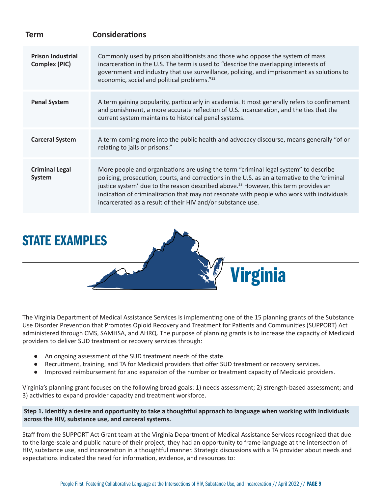<span id="page-8-0"></span>

| Term                                             | <b>Considerations</b>                                                                                                                                                                                                                                                                                                                                                                                                                                |
|--------------------------------------------------|------------------------------------------------------------------------------------------------------------------------------------------------------------------------------------------------------------------------------------------------------------------------------------------------------------------------------------------------------------------------------------------------------------------------------------------------------|
| <b>Prison Industrial</b><br><b>Complex (PIC)</b> | Commonly used by prison abolitionists and those who oppose the system of mass<br>incarceration in the U.S. The term is used to "describe the overlapping interests of<br>government and industry that use surveillance, policing, and imprisonment as solutions to<br>economic, social and political problems."22                                                                                                                                    |
| <b>Penal System</b>                              | A term gaining popularity, particularly in academia. It most generally refers to confinement<br>and punishment, a more accurate reflection of U.S. incarceration, and the ties that the<br>current system maintains to historical penal systems.                                                                                                                                                                                                     |
| <b>Carceral System</b>                           | A term coming more into the public health and advocacy discourse, means generally "of or<br>relating to jails or prisons."                                                                                                                                                                                                                                                                                                                           |
| <b>Criminal Legal</b><br><b>System</b>           | More people and organizations are using the term "criminal legal system" to describe<br>policing, prosecution, courts, and corrections in the U.S. as an alternative to the 'criminal<br>justice system' due to the reason described above. <sup>23</sup> However, this term provides an<br>indication of criminalization that may not resonate with people who work with individuals<br>incarcerated as a result of their HIV and/or substance use. |



The Virginia Department of Medical Assistance Services is implementing one of the 15 planning grants of the Substance Use Disorder Prevention that Promotes Opioid Recovery and Treatment for Patients and Communities (SUPPORT) Act administered through CMS, SAMHSA, and AHRQ. The purpose of planning grants is to increase the capacity of Medicaid providers to deliver SUD treatment or recovery services through:

- An ongoing assessment of the SUD treatment needs of the state.
- Recruitment, training, and TA for Medicaid providers that offer SUD treatment or recovery services.
- Improved reimbursement for and expansion of the number or treatment capacity of Medicaid providers.

Virginia's planning grant focuses on the following broad goals: 1) needs assessment; 2) strength-based assessment; and 3) activities to expand provider capacity and treatment workforce.

 **Step 1. Identify a desire and opportunity to take a thoughtful approach to language when working with individuals across the HIV, substance use, and carceral systems.** 

Staff from the SUPPORT Act Grant team at the Virginia Department of Medical Assistance Services recognized that due to the large-scale and public nature of their project, they had an opportunity to frame language at the intersection of HIV, substance use, and incarceration in a thoughtful manner. Strategic discussions with a TA provider about needs and expectations indicated the need for information, evidence, and resources to: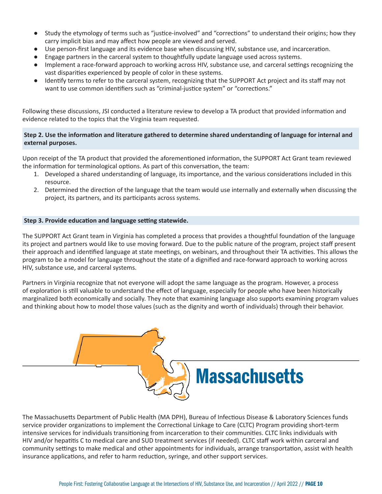- <span id="page-9-0"></span>Study the etymology of terms such as "justice-involved" and "corrections" to understand their origins; how they carry implicit bias and may affect how people are viewed and served.
- Use person-first language and its evidence base when discussing HIV, substance use, and incarceration.
- Engage partners in the carceral system to thoughtfully update language used across systems.
- Implement a race-forward approach to working across HIV, substance use, and carceral settings recognizing the vast disparities experienced by people of color in these systems.
- Identify terms to refer to the carceral system, recognizing that the SUPPORT Act project and its staff may not want to use common identifiers such as "criminal-justice system" or "corrections."

Following these discussions, JSI conducted a literature review to develop a TA product that provided information and evidence related to the topics that the Virginia team requested.

### **Step 2. Use the information and literature gathered to determine shared understanding of language for internal and external purposes.**

Upon receipt of the TA product that provided the aforementioned information, the SUPPORT Act Grant team reviewed the information for terminological options. As part of this conversation, the team:

- 1. Developed a shared understanding of language, its importance, and the various considerations included in this resource.
- 2. Determined the direction of the language that the team would use internally and externally when discussing the project, its partners, and its participants across systems.

#### **Step 3. Provide education and language setting statewide.**

The SUPPORT Act Grant team in Virginia has completed a process that provides a thoughtful foundation of the language its project and partners would like to use moving forward. Due to the public nature of the program, project staff present their approach and identified language at state meetings, on webinars, and throughout their TA activities. This allows the program to be a model for language throughout the state of a dignified and race-forward approach to working across HIV, substance use, and carceral systems.

Partners in Virginia recognize that not everyone will adopt the same language as the program. However, a process of exploration is still valuable to understand the effect of language, especially for people who have been historically marginalized both economically and socially. They note that examining language also supports examining program values and thinking about how to model those values (such as the dignity and worth of individuals) through their behavior.



The Massachusetts Department of Public Health (MA DPH), Bureau of Infectious Disease & Laboratory Sciences funds service provider organizations to implement the Correctional Linkage to Care (CLTC) Program providing short-term intensive services for individuals transitioning from incarceration to their communities. CLTC links individuals with HIV and/or hepatitis C to medical care and SUD treatment services (if needed). CLTC staff work within carceral and community settings to make medical and other appointments for individuals, arrange transportation, assist with health insurance applications, and refer to harm reduction, syringe, and other support services.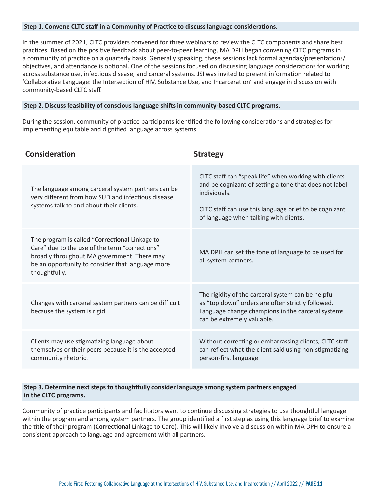#### <span id="page-10-0"></span> **Step 1. Convene CLTC staff in a Community of Practice to discuss language considerations.**

In the summer of 2021, CLTC providers convened for three webinars to review the CLTC components and share best practices. Based on the positive feedback about peer-to-peer learning, MA DPH began convening CLTC programs in a community of practice on a quarterly basis. Generally speaking, these sessions lack formal agendas/presentations/ objectives, and attendance is optional. One of the sessions focused on discussing language considerations for working across substance use, infectious disease, and carceral systems. JSI was invited to present information related to 'Collaborative Language: the Intersection of HIV, Substance Use, and Incarceration' and engage in discussion with community-based CLTC staff.

#### **Step 2. Discuss feasibility of conscious language shifts in community-based CLTC programs.**

During the session, community of practice participants identified the following considerations and strategies for implementing equitable and dignified language across systems.

| Consideration                                                                                                                                                                                                        | <b>Strategy</b>                                                                                                                                                                                                                     |  |
|----------------------------------------------------------------------------------------------------------------------------------------------------------------------------------------------------------------------|-------------------------------------------------------------------------------------------------------------------------------------------------------------------------------------------------------------------------------------|--|
| The language among carceral system partners can be<br>very different from how SUD and infectious disease<br>systems talk to and about their clients.                                                                 | CLTC staff can "speak life" when working with clients<br>and be cognizant of setting a tone that does not label<br>individuals.<br>CLTC staff can use this language brief to be cognizant<br>of language when talking with clients. |  |
| The program is called "Correctional Linkage to<br>Care" due to the use of the term "corrections"<br>broadly throughout MA government. There may<br>be an opportunity to consider that language more<br>thoughtfully. | MA DPH can set the tone of language to be used for<br>all system partners.                                                                                                                                                          |  |
| Changes with carceral system partners can be difficult<br>because the system is rigid.                                                                                                                               | The rigidity of the carceral system can be helpful<br>as "top down" orders are often strictly followed.<br>Language change champions in the carceral systems<br>can be extremely valuable.                                          |  |
| Clients may use stigmatizing language about<br>themselves or their peers because it is the accepted<br>community rhetoric.                                                                                           | Without correcting or embarrassing clients, CLTC staff<br>can reflect what the client said using non-stigmatizing<br>person-first language.                                                                                         |  |

#### **Step 3. Determine next steps to thoughtfully consider language among system partners engaged in the CLTC programs.**

Community of practice participants and facilitators want to continue discussing strategies to use thoughtful language within the program and among system partners. The group identified a first step as using this language brief to examine the title of their program (**Correctional** Linkage to Care). This will likely involve a discussion within MA DPH to ensure a consistent approach to language and agreement with all partners.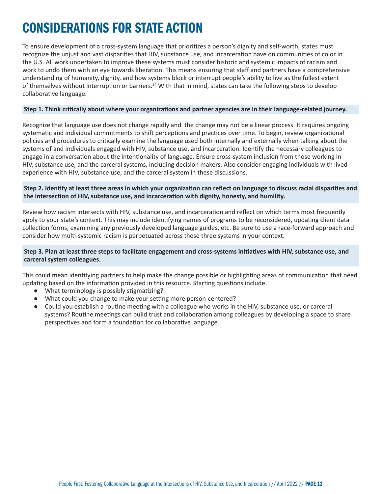## CONSIDERATIONS FOR STATE ACTION

To ensure development of a cross-system language that prioritizes a person's dignity and self-worth, states must recognize the unjust and vast disparities that HIV, substance use, and incarceration have on communities of color in the U.S. All work undertaken to improve these systems must consider historic and systemic impacts of racism and work to undo them with an eye towards liberation. This means ensuring that staff and partners have a comprehensive understanding of humanity, dignity, and how systems block or interrupt people's ability to live as the fullest extent of themselves without interruption or barriers.<sup>24</sup> With that in mind, states can take the following steps to develop collaborative language.

#### **Step 1. Think critically about where your organizations and partner agencies are in their language-related journey.**

Recognize that language use does not change rapidly and the change may not be a linear process. It requires ongoing systematic and individual commitments to shift perceptions and practices over time. To begin, review organizational policies and procedures to critically examine the language used both internally and externally when talking about the systems of and individuals engaged with HIV, substance use, and incarceration. Identify the necessary colleagues to engage in a conversation about the intentionality of language. Ensure cross-system inclusion from those working in HIV, substance use, and the carceral systems, including decision makers. Also consider engaging individuals with lived experience with HIV, substance use, and the carceral system in these discussions.

### **Step 2. Identify at least three areas in which your organization can reflect on language to discuss racial disparities and the intersection of HIV, substance use, and incarceration with dignity, honesty, and humility.**

Review how racism intersects with HIV, substance use, and incarceration and reflect on which terms most frequently apply to your state's context. This may include identifying names of programs to be reconsidered, updating client data collection forms, examining any previously developed language guides, etc. Be sure to use a race-forward approach and consider how multi-systemic racism is perpetuated across these three systems in your context.

### **Step 3. Plan at least three steps to facilitate engagement and cross-systems initiatives with HIV, substance use, and carceral system colleagues**.

This could mean identifying partners to help make the change possible or highlighting areas of communication that need updating based on the information provided in this resource. Starting questions include:

- What terminology is possibly stigmatizing?
- What could you change to make your setting more person-centered?
- Could you establish a routine meeting with a colleague who works in the HIV, substance use, or carceral systems? Routine meetings can build trust and collaboration among colleagues by developing a space to share perspectives and form a foundation for collaborative language.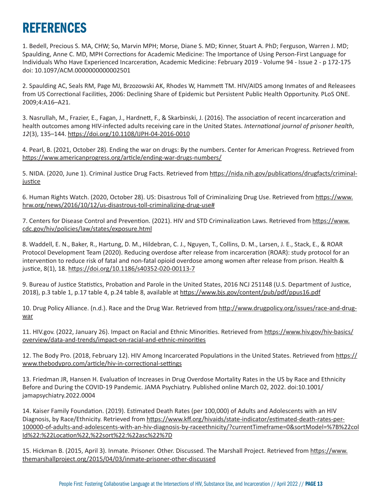## <span id="page-12-0"></span>REFERENCES

1. Bedell, Precious S. MA, CHW; So, Marvin MPH; Morse, Diane S. MD; Kinner, Stuart A. PhD; Ferguson, Warren J. MD; Spaulding, Anne C. MD, MPH Corrections for Academic Medicine: The Importance of Using Person-First Language for Individuals Who Have Experienced Incarceration, Academic Medicine: February 2019 - Volume 94 - Issue 2 - p 172-175 doi: 10.1097/ACM.0000000000002501

2. Spaulding AC, Seals RM, Page MJ, Brzozowski AK, Rhodes W, Hammett TM. HIV/AIDS among Inmates of and Releasees from US Correctional Facilities, 2006: Declining Share of Epidemic but Persistent Public Health Opportunity. PLoS ONE. 2009;4:A16–A21.

3. Nasrullah, M., Frazier, E., Fagan, J., Hardnett, F., & Skarbinski, J. (2016). The association of recent incarceration and health outcomes among HIV-infected adults receiving care in the United States. *International journal of prisoner health*, *12*(3), 135–144[.](https://doi.org/10.1108/IJPH-04-2016-0010) <https://doi.org/10.1108/IJPH-04-2016-0010>

4. Pearl, B. (2021, October 28). Ending the war on drugs: By the numbers. Center for American Progress. Retrieved from <https://www.americanprogress.org/article/ending-war-drugs-numbers/>

5. NIDA. (2020, June 1). Criminal Justice Drug Facts. Retrieved from [https://nida.nih.gov/publications/drugfacts/criminal](https://nida.nih.gov/publications/drugfacts/criminal-justice)**[justice](https://nida.nih.gov/publications/drugfacts/criminal-justice)** 

6. Human Rights Watch. (2020, October 28). US: Disastrous Toll of Criminalizing Drug Use. Retrieved from [https://www.](https://www.hrw.org/news/2016/10/12/us-disastrous-toll-criminalizing-drug-use) [hrw.org/news/2016/10/12/us-disastrous-toll-criminalizing-drug-use#](https://www.hrw.org/news/2016/10/12/us-disastrous-toll-criminalizing-drug-use)

7. Centers for Disease Control and Prevention. (2021). HIV and STD Criminalization Laws. Retrieved fro[m](https://www.cdc.gov/hiv/policies/law/states/exposure.html) [https://www.](https://www.cdc.gov/hiv/policies/law/states/exposure.html) [cdc.gov/hiv/policies/law/states/exposure.html](https://www.cdc.gov/hiv/policies/law/states/exposure.html)

8. Waddell, E. N., Baker, R., Hartung, D. M., Hildebran, C. J., Nguyen, T., Collins, D. M., Larsen, J. E., Stack, E., & ROAR Protocol Development Team (2020). Reducing overdose after release from incarceration (ROAR): study protocol for an intervention to reduce risk of fatal and non-fatal opioid overdose among women after release from prison. Health & justice, 8(1), 18. <https://doi.org/10.1186/s40352-020-00113-7>

9. Bureau of Justice Statistics, Probation and Parole in the United States, 2016 NCJ 251148 (U.S. Department of Justice, 2018), p.3 table 1, p.17 table 4, p.24 table 8, available at <https://www.bjs.gov/content/pub/pdf/ppus16.pdf>

10. Drug Policy Alliance. (n.d.). Race and the Drug War. Retrieved fro[m](http://www.drugpolicy.org/issues/race-and-drug-war) [http://www.drugpolicy.org/issues/race-and-drug](http://www.drugpolicy.org/issues/race-and-drug-war)[war](http://www.drugpolicy.org/issues/race-and-drug-war)

11. HIV.gov. (2022, January 26). I[m](https://www.hiv.gov/hiv-basics/overview/data-and-trends/impact-on-racial-and-ethnic-minorities)pact on Racial and Ethnic Minorities. Retrieved from [https://www.hiv.gov/hiv-basics/](https://www.hiv.gov/hiv-basics/overview/data-and-trends/impact-on-racial-and-ethnic-minorities) [overview/data-and-trends/impact-on-racial-and-ethnic-minorities](https://www.hiv.gov/hiv-basics/overview/data-and-trends/impact-on-racial-and-ethnic-minorities)

12. The Body Pro. (2018, February 12). HIV Among Incarcerated Populations in the United States. Retrieved from [https://](https://www.thebodypro.com/article/hiv-in-correctional-settings) [www.thebodypro.com/article/hiv-in-correctional-settings](https://www.thebodypro.com/article/hiv-in-correctional-settings)

13. Friedman JR, Hansen H. Evaluation of Increases in Drug Overdose Mortality Rates in the US by Race and Ethnicity Before and During the COVID-19 Pandemic. JAMA Psychiatry. Published online March 02, 2022. doi:10.1001/ jamapsychiatry.2022.0004

14. Kaiser Family Foundation. (2019). Estim[at](https://www.kff.org/hivaids/state-indicator/estimated-death-rates-per-100000-of-adults-and-adolescents-with-an-hiv-diagnosis-by-raceethnicity/?currentTimeframe=0&sortModel=%7B%22colId%22:%22Location%22,%22sort%22:%22asc%22%7D)ed Death Rates (per 100,000) of Adults and Adolescents with an HIV Diagnosis, by Race/Ethnicity. Retrieved from [https://www.kff.org/hivaids/state-indicator/estimated-death-rates-per-](https://www.kff.org/hivaids/state-indicator/estimated-death-rates-per-100000-of-adults-and-adolescents-with-an-hiv-diagnosis-by-raceethnicity/?currentTimeframe=0&sortModel=%7B%22colId%22:%22Location%22,%22sort%22:%22asc%22%7D)[100000-of-adults-and-adolescents-with-an-hiv-diagnosis-by-raceethnicity/?currentTimeframe=0&sortModel=%7B%22col](https://www.kff.org/hivaids/state-indicator/estimated-death-rates-per-100000-of-adults-and-adolescents-with-an-hiv-diagnosis-by-raceethnicity/?currentTimeframe=0&sortModel=%7B%22colId%22:%22Location%22,%22sort%22:%22asc%22%7D) [Id%22:%22Location%22,%22sort%22:%22asc%22%7D](https://www.kff.org/hivaids/state-indicator/estimated-death-rates-per-100000-of-adults-and-adolescents-with-an-hiv-diagnosis-by-raceethnicity/?currentTimeframe=0&sortModel=%7B%22colId%22:%22Location%22,%22sort%22:%22asc%22%7D)

15. Hickman B. (2015, April 3). Inmate. Prisoner. Other. Discussed. The Marshall Project. Retrieved from [https://www.](https://www.themarshallproject.org/2015/04/03/inmate-prisoner-other-discussed) [themarshallproject.org/2015/04/03/inmate-prisoner-other-discussed](https://www.themarshallproject.org/2015/04/03/inmate-prisoner-other-discussed)